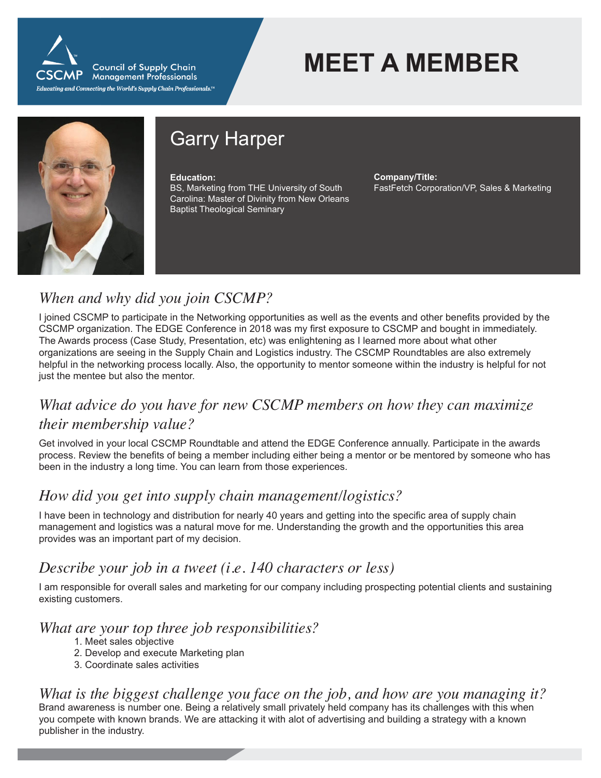

# **MEET A MEMBER**



# Garry Harper

#### **Education:**

BS, Marketing from THE University of South Carolina: Master of Divinity from New Orleans Baptist Theological Seminary

**Company/Title:** FastFetch Corporation/VP, Sales & Marketing

## *When and why did you join CSCMP?*

I joined CSCMP to participate in the Networking opportunities as well as the events and other benefits provided by the CSCMP organization. The EDGE Conference in 2018 was my first exposure to CSCMP and bought in immediately. The Awards process (Case Study, Presentation, etc) was enlightening as I learned more about what other organizations are seeing in the Supply Chain and Logistics industry. The CSCMP Roundtables are also extremely helpful in the networking process locally. Also, the opportunity to mentor someone within the industry is helpful for not just the mentee but also the mentor.

## *What advice do you have for new CSCMP members on how they can maximize their membership value?*

Get involved in your local CSCMP Roundtable and attend the EDGE Conference annually. Participate in the awards process. Review the benefits of being a member including either being a mentor or be mentored by someone who has been in the industry a long time. You can learn from those experiences.

### *How did you get into supply chain management/logistics?*

I have been in technology and distribution for nearly 40 years and getting into the specific area of supply chain management and logistics was a natural move for me. Understanding the growth and the opportunities this area provides was an important part of my decision.

### *Describe your job in a tweet (i.e. 140 characters or less)*

I am responsible for overall sales and marketing for our company including prospecting potential clients and sustaining existing customers.

#### *What are your top three job responsibilities?*

- 1. Meet sales objective
- 2. Develop and execute Marketing plan
- 3. Coordinate sales activities

#### *What is the biggest challenge you face on the job, and how are you managing it?* Brand awareness is number one. Being a relatively small privately held company has its challenges with this when you compete with known brands. We are attacking it with alot of advertising and building a strategy with a known

publisher in the industry.